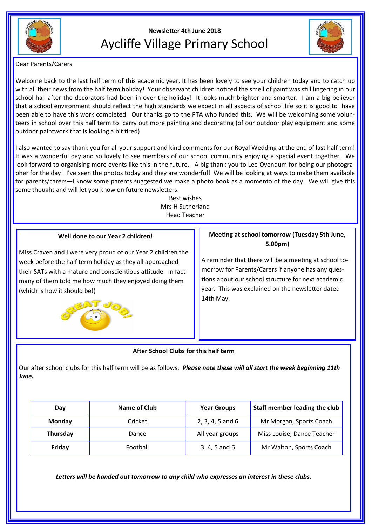

# **Newsletter 4th June 2018** Aycliffe Village Primary School



Dear Parents/Carers

Welcome back to the last half term of this academic year. It has been lovely to see your children today and to catch up with all their news from the half term holiday! Your observant children noticed the smell of paint was still lingering in our school hall after the decorators had been in over the holiday! It looks much brighter and smarter. I am a big believer that a school environment should reflect the high standards we expect in all aspects of school life so it is good to have been able to have this work completed. Our thanks go to the PTA who funded this. We will be welcoming some volunteers in school over this half term to carry out more painting and decorating (of our outdoor play equipment and some outdoor paintwork that is looking a bit tired)

I also wanted to say thank you for all your support and kind comments for our Royal Wedding at the end of last half term! It was a wonderful day and so lovely to see members of our school community enjoying a special event together. We look forward to organising more events like this in the future. A big thank you to Lee Ovendum for being our photographer for the day! I've seen the photos today and they are wonderful! We will be looking at ways to make them available for parents/carers—I know some parents suggested we make a photo book as a momento of the day. We will give this some thought and will let you know on future newsletters.

> Best wishes Mrs H Sutherland Head Teacher

# **Well done to our Year 2 children!**

Miss Craven and I were very proud of our Year 2 children the week before the half term holiday as they all approached their SATs with a mature and conscientious attitude. In fact many of them told me how much they enjoyed doing them (which is how it should be!)



# **Meeting at school tomorrow (Tuesday 5th June, 5.00pm)**

A reminder that there will be a meeting at school tomorrow for Parents/Carers if anyone has any questions about our school structure for next academic year. This was explained on the newsletter dated 14th May.

# **After School Clubs for this half term**

Our after school clubs for this half term will be as follows. *Please note these will all start the week beginning 11th June.*

| Day      | Name of Club | <b>Year Groups</b> | Staff member leading the club |
|----------|--------------|--------------------|-------------------------------|
| Monday   | Cricket      | $2, 3, 4, 5$ and 6 | Mr Morgan, Sports Coach       |
| Thursday | Dance        | All year groups    | Miss Louise, Dance Teacher    |
| Friday   | Football     | 3, 4, 5 and 6      | Mr Walton, Sports Coach       |

*Letters will be handed out tomorrow to any child who expresses an interest in these clubs.*